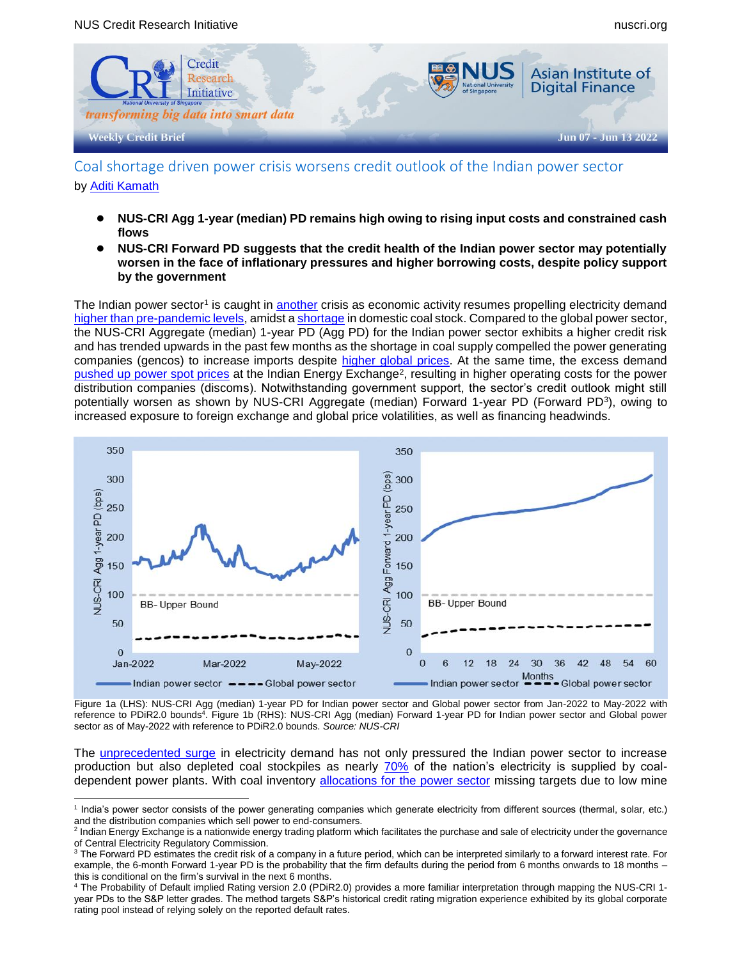

Coal shortage driven power crisis worsens credit outlook of the Indian power sector by [Aditi Kamath](mailto:aditimkamath@u.nus.edu)

- **NUS-CRI Agg 1-year (median) PD remains high owing to rising input costs and constrained cash flows**
- **NUS-CRI Forward PD suggests that the credit health of the Indian power sector may potentially worsen in the face of inflationary pressures and higher borrowing costs, despite policy support by the government**

The Indian power sector<sup>1</sup> is caught in [another](https://economictimes.indiatimes.com/industry/energy/power/india-heading-towards-another-power-crisis-in-july-august-report/articleshow/91868775.cms) crisis as economic activity resumes propelling electricity demand [higher than pre-pandemic levels,](https://rbi.org.in/scripts/BS_ViewBulletin.aspx?Id=21001) amidst [a shortage](https://www.onmanorama.com/news/business/2022/05/30/coal-india-import-inventory-low.html) in domestic coal stock. Compared to the global power sector, the NUS-CRI Aggregate (median) 1-year PD (Agg PD) for the Indian power sector exhibits a higher credit risk and has trended upwards in the past few months as the shortage in coal supply compelled the power generating companies (gencos) to increase imports despite [higher global prices.](https://www.investing.com/commodities/coal-ici-4-indonesian-coal-index-f-futures) At the same time, the excess demand [pushed up power spot prices](https://www.thehindubusinessline.com/markets/commodities/spot-prices-on-iex-surge-almost-200-per-cent-during-january-april-2022/article65385238.ece) at the Indian Energy Exchange<sup>2</sup>, resulting in higher operating costs for the power distribution companies (discoms). Notwithstanding government support, the sector's credit outlook might still potentially worsen as shown by NUS-CRI Aggregate (median) Forward 1-year PD (Forward PD<sup>3</sup>), owing to increased exposure to foreign exchange and global price volatilities, as well as financing headwinds.



Figure 1a (LHS): NUS-CRI Agg (median) 1-year PD for Indian power sector and Global power sector from Jan-2022 to May-2022 with reference to PDiR2.0 bounds<sup>4</sup>. Figure 1b (RHS): NUS-CRI Agg (median) Forward 1-year PD for Indian power sector and Global power sector as of May-2022 with reference to PDiR2.0 bounds. *Source: NUS-CRI*

The **unprecedented surge** in electricity demand has not only pressured the Indian power sector to increase production but also depleted coal stockpiles as nearly [70%](https://www.thehindu.com/news/national/explained-why-india-faces-annual-coal-shortage-how-does-it-affect-power-supply/article65339185.ece) of the nation's electricity is supplied by coaldependent power plants. With coal inventory [allocations for the power sector](https://www.reuters.com/world/india/india-falls-76-short-coal-supply-targets-utilities-april-2022-05-03/) missing targets due to low mine

 <sup>1</sup> India's power sector consists of the power generating companies which generate electricity from different sources (thermal, solar, etc.) and the distribution companies which sell power to end-consumers.

<sup>&</sup>lt;sup>2</sup> Indian Energy Exchange is a nationwide energy trading platform which facilitates the purchase and sale of electricity under the governance of Central Electricity Regulatory Commission.

<sup>&</sup>lt;sup>3</sup> The Forward PD estimates the credit risk of a company in a future period, which can be interpreted similarly to a forward interest rate. For example, the 6-month Forward 1-year PD is the probability that the firm defaults during the period from 6 months onwards to 18 months – this is conditional on the firm's survival in the next 6 months.

<sup>4</sup> The Probability of Default implied Rating version 2.0 (PDiR2.0) provides a more familiar interpretation through mapping the NUS-CRI 1 year PDs to the S&P letter grades. The method targets S&P's historical credit rating migration experience exhibited by its global corporate rating pool instead of relying solely on the reported default rates.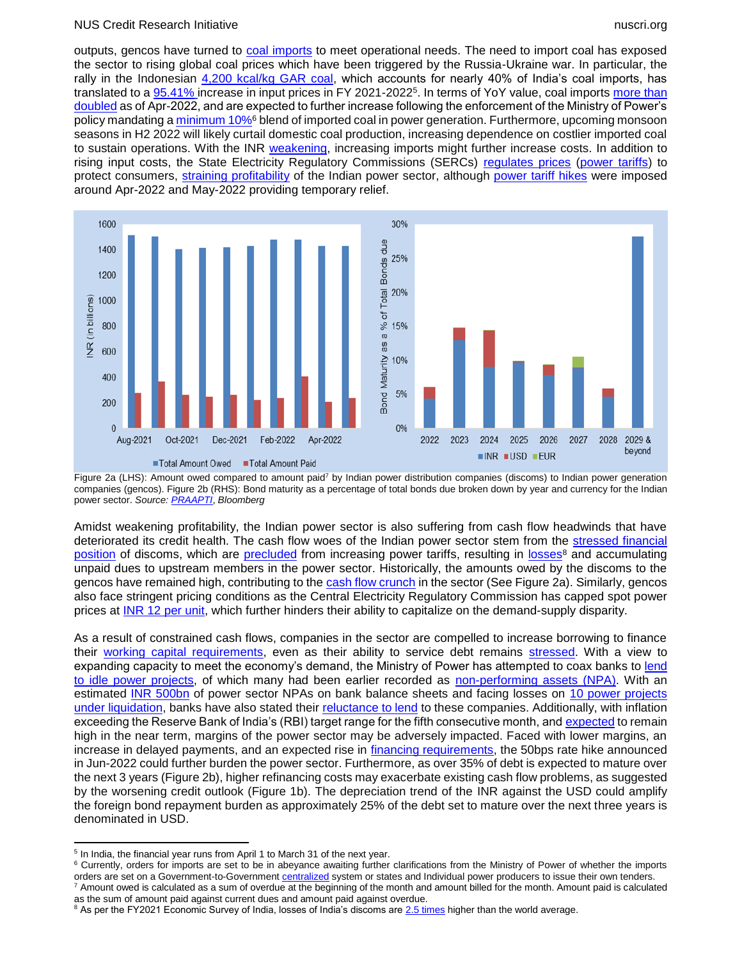#### NUS Credit Research Initiative nuscri.org nuscri.org nuscri.org nuscri.org nuscri.org nuscri.org nuscri.org nuscri.org

outputs, gencos have turned to [coal imports](https://www.orfonline.org/expert-speak/imported-coal-source-of-energy-security-for-india/#:~:text=Indonesia%2C%20Australia%2C%20and%20South%20Africa,14.45%20percent%2C%2031.093%20MT).) to meet operational needs. The need to import coal has exposed the sector to rising global coal prices which have been triggered by the Russia-Ukraine war. In particular, the rally in the Indonesian [4,200 kcal/kg GAR coal,](https://www.spglobal.com/commodityinsights/en/market-insights/blogs/coal/052522-india-heat-wave-coal-import-prices#:~:text=India) which accounts for nearly 40% of India's coal imports, has translated to a [95.41%](https://www.spglobal.com/commodityinsights/en/market-insights/blogs/coal/052522-india-heat-wave-coal-import-prices#:~:text=India) increase in input prices in FY 2021-2022<sup>5</sup>. In terms of YoY value, coal imports more than [doubled](https://rbi.org.in/scripts/BS_ViewBulletin.aspx?Id=21001) as of Apr-2022, and are expected to further increase following the enforcement of the Ministry of Power's policy mandating [a minimum 10%](https://www.hindustantimes.com/india-news/import-coal-for-blending-by-june-15-or-face-5-domestic-supply-cuts-power-ministry-to-gencos-101652900810548.html)<sup>6</sup> blend of imported coal in power generation. Furthermore, upcoming monsoon seasons in H2 2022 will likely curtail domestic coal production, increasing dependence on costlier imported coal to sustain operations. With the INR [weakening,](https://economictimes.indiatimes.com/nri/invest/what-a-depreciating-rupee-means-for-nri-investors/articleshow/91679573.cms) increasing imports might further increase costs. In addition to rising input costs, the State Electricity Regulatory Commissions (SERCs) [regulates prices](https://indianexpress.com/article/explained/explained-why-power-costs-vary-and-uniform-national-rate-is-difficult-to-implement-5830852/) [\(power tariffs\)](https://www.electrical4u.com/tariff-of-electricity-in-india/) to protect consumers, [straining profitability](https://www.telegraphindia.com/business/weekly-billing-for-power-distributors/cid/1867225) of the Indian power sector, although [power tariff hikes](https://www.newindianexpress.com/states/telangana/2022/may/09/officials-say-the-hike-is-nominal-2451397.html) were imposed around Apr-2022 and May-2022 providing temporary relief.



Figure 2a (LHS): Amount owed compared to amount paid<sup>7</sup> by Indian power distribution companies (discoms) to Indian power generation companies (gencos). Figure 2b (RHS): Bond maturity as a percentage of total bonds due broken down by year and currency for the Indian power sector. *Source[: PRAAPTI](https://praapti.in/)*, *Bloomberg*

Amidst weakening profitability, the Indian power sector is also suffering from cash flow headwinds that have deteriorated its credit health. The cash flow woes of the Indian power sector stem from the [stressed financial](https://www.business-standard.com/article/companies/weak-discoms-remain-a-hurdle-for-india-s-renewable-energy-sector-moody-s-122061300360_1.html)  [position](https://www.business-standard.com/article/companies/weak-discoms-remain-a-hurdle-for-india-s-renewable-energy-sector-moody-s-122061300360_1.html) of discoms, which are [precluded](https://www.moneycontrol.com/news/business/the-discom-story-theres-pain-and-it-aint-new-8428921.html) from increasing power tariffs, resulting in [losses](https://energy.economictimes.indiatimes.com/news/power/power-discoms-losses-widened-to-rs-59000-crore-in-2021-22-report/91934081)<sup>8</sup> and accumulating unpaid dues to upstream members in the power sector. Historically, the amounts owed by the discoms to the gencos have remained high, contributing to the [cash flow crunch](https://www.moneycontrol.com/news/business/companies/its-not-a-power-crisis-or-a-coal-crisis-its-a-payment-crisis-8419141.html) in the sector (See Figure 2a). Similarly, gencos also face stringent pricing conditions as the Central Electricity Regulatory Commission has capped spot power prices at [INR 12 per unit,](https://economictimes.indiatimes.com/industry/energy/power/power-regulator-caps-spot-power-price-at-rs-12/unit/articleshow/90607256.cms) which further hinders their ability to capitalize on the demand-supply disparity.

As a result of constrained cash flows, companies in the sector are compelled to increase borrowing to finance their [working capital requirements,](https://economictimes.indiatimes.com/industry/energy/power/power-ministry-tells-banks-to-be-cautious-when-lending-to-discoms/articleshow/88329473.cms?from=mdr) even as their ability to service debt remains [stressed.](https://www.moneycontrol.com/news/business/economy/rs-3-lakh-crore-pvt-power-investment-at-risk-as-discoms-delay-payments-3690941.html) With a view to expanding capacity to meet the economy's demand, the Ministry of Power has attempted to coax banks to lend [to idle power projects,](https://www.financialexpress.com/industry/stuck-power-units-to-resume-generation-soon-as-banks-agree-to-extend-loans/2524995/) of which many had been earlier recorded as [non-performing assets \(NPA\).](https://www.moneycontrol.com/news/business/banks/banks-come-to-the-rescue-of-the-power-sector-again-8610981.html) With an estimated [INR 500bn](https://www.business-standard.com/article/current-affairs/power-shortages-may-persist-as-thermal-capacity-lags-power-demand-report-122060600726_1.html) of power sector NPAs on bank balance sheets and facing losses on [10 power projects](https://www.business-standard.com/article/finance/banks-to-take-rs-37-200-cr-hit-by-liquidating-10-power-projects-bofa-122060700689_1.html)  [under liquidation,](https://www.business-standard.com/article/finance/banks-to-take-rs-37-200-cr-hit-by-liquidating-10-power-projects-bofa-122060700689_1.html) banks have also stated their [reluctance to lend](https://indianexpress.com/article/india/ministry-seeks-funds-for-coal-fired-power-plants-but-banks-set-to-say-no-7961363/) to these companies. Additionally, with inflation exceeding the Reserve Bank of India's (RBI) target range for the fifth consecutive month, and [expected](https://tradingeconomics.com/india/inflation-cpi) to remain high in the near term, margins of the power sector may be adversely impacted. Faced with lower margins, an increase in delayed payments, and an expected rise in [financing requirements,](https://www.financialexpress.com/industry/banking-finance/banks-see-pick-up-in-capex-loans/2549478/) the 50bps rate hike announced in Jun-2022 could further burden the power sector. Furthermore, as over 35% of debt is expected to mature over the next 3 years (Figure 2b), higher refinancing costs may exacerbate existing cash flow problems, as suggested by the worsening credit outlook (Figure 1b). The depreciation trend of the INR against the USD could amplify the foreign bond repayment burden as approximately 25% of the debt set to mature over the next three years is denominated in USD.

 $\overline{a}$ <sup>5</sup> In India, the financial year runs from April 1 to March 31 of the next year.

<sup>&</sup>lt;sup>6</sup> Currently, orders for imports are set to be in abeyance awaiting further clarifications from the Ministry of Power of whether the imports orders are set on a Government-to-Government [centralized](https://www.financialexpress.com/economy/three-states-agree-to-centralised-coal-imports-through-cil/2544296/) system or states and Individual power producers to issue their own tenders. <sup>7</sup> Amount owed is calculated as a sum of overdue at the beginning of the month and amount billed for the month. Amount paid is calculated as the sum of amount paid against current dues and amount paid against overdue.

<sup>&</sup>lt;sup>8</sup> As per the FY2021 Economic Survey of India, losses of India's discoms are [2.5 times](https://www.moneycontrol.com/news/business/the-discom-story-theres-pain-and-it-aint-new-8428921.html) higher than the world average.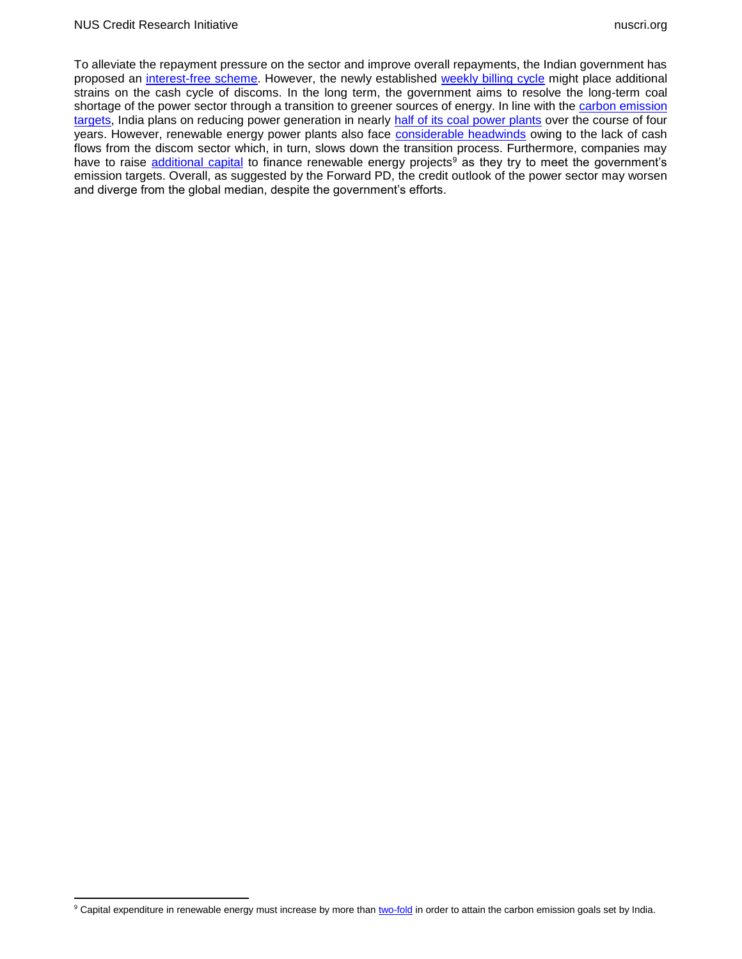To alleviate the repayment pressure on the sector and improve overall repayments, the Indian government has proposed an [interest-free scheme.](https://timesofindia.indiatimes.com/business/india-business/government-readies-interest-free-instalment-scheme-to-clear-genco-dues/articleshow/91626138.cms) However, the newly established [weekly billing cycle](https://www.telegraphindia.com/business/weekly-billing-for-power-distributors/cid/1867225) might place additional strains on the cash cycle of discoms. In the long term, the government aims to resolve the long-term coal shortage of the power sector through a transition to greener sources of energy. In line with the carbon emission [targets,](https://www.ceew.in/news/cop-26-ceew-unpacks-indias-2070-net-zero-target-and-other-climate-mitigation-measures#:~:text=Speaking%20at%20the%2026th%20Conference,its%20energy%20demand%20through%20renewables.) India plans on reducing power generation in nearly [half of its coal power plants](https://www.financialexpress.com/economy/half-of-coal-fired-power-units-to-cut-output-over-four-years-power-ministry/2542747/) over the course of four years. However, renewable energy power plants also face [considerable headwinds](https://www.business-standard.com/article/companies/weak-discoms-remain-a-hurdle-for-india-s-renewable-energy-sector-moody-s-122061300360_1.html) owing to the lack of cash flows from the discom sector which, in turn, slows down the transition process. Furthermore, companies may have to raise [additional capital](https://economictimes.indiatimes.com/industry/renewables/for-indias-energy-transition-financing-will-be-a-key-challenge/articleshow/91073021.cms) to finance renewable energy projects<sup>9</sup> as they try to meet the government's emission targets. Overall, as suggested by the Forward PD, the credit outlook of the power sector may worsen and diverge from the global median, despite the government's efforts.

<sup>&</sup>lt;sup>9</sup> Capital expenditure in renewable energy must increase by more tha[n two-fold](https://qz.com/india/2175729/investments-in-indias-renewable-sector-rose-125-percent-in-one-year/) in order to attain the carbon emission goals set by India.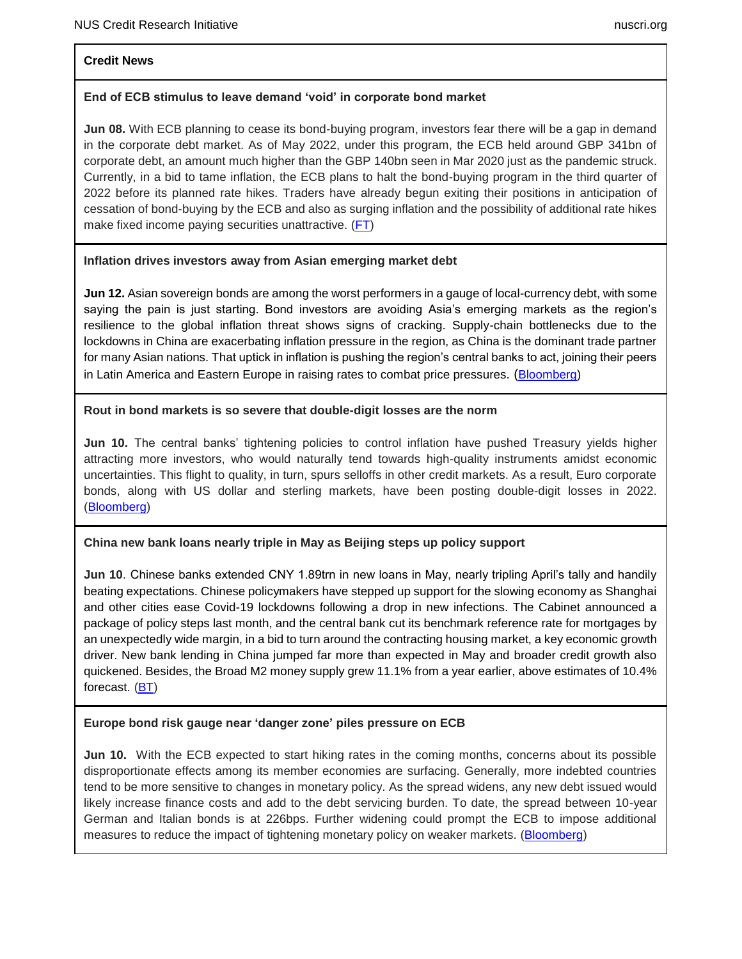#### **Credit News**

# **End of ECB stimulus to leave demand 'void' in corporate bond market**

**Jun 08.** With ECB planning to cease its bond-buying program, investors fear there will be a gap in demand in the corporate debt market. As of May 2022, under this program, the ECB held around GBP 341bn of corporate debt, an amount much higher than the GBP 140bn seen in Mar 2020 just as the pandemic struck. Currently, in a bid to tame inflation, the ECB plans to halt the bond-buying program in the third quarter of 2022 before its planned rate hikes. Traders have already begun exiting their positions in anticipation of cessation of bond-buying by the ECB and also as surging inflation and the possibility of additional rate hikes make fixed income paying securities unattractive.  $(FT)$ 

# **Inflation drives investors away from Asian emerging market debt**

**Jun 12.** Asian sovereign bonds are among the worst performers in a gauge of local-currency debt, with some saying the pain is just starting. Bond investors are avoiding Asia's emerging markets as the region's resilience to the global inflation threat shows signs of cracking. Supply-chain bottlenecks due to the lockdowns in China are exacerbating inflation pressure in the region, as China is the dominant trade partner for many Asian nations. That uptick in inflation is pushing the region's central banks to act, joining their peers in Latin America and Eastern Europe in raising rates to combat price pressures. ([Bloomberg\)](https://www.bloomberg.com/news/articles/2022-06-12/bond-managers-fret-asia-inflation-surge-as-local-debt-lags-peers)

## **Rout in bond markets is so severe that double-digit losses are the norm**

**Jun 10.** The central banks' tightening policies to control inflation have pushed Treasury yields higher attracting more investors, who would naturally tend towards high-quality instruments amidst economic uncertainties. This flight to quality, in turn, spurs selloffs in other credit markets. As a result, Euro corporate bonds, along with US dollar and sterling markets, have been posting double-digit losses in 2022. [\(Bloomberg\)](https://www.bloomberg.com/news/articles/2022-06-10/global-bonds-drop-to-2022-low-wiping-out-7-8-trillion-of-value)

# **China new bank loans nearly triple in May as Beijing steps up policy support**

**Jun 10**. Chinese banks extended CNY 1.89trn in new loans in May, nearly tripling April's tally and handily beating expectations. Chinese policymakers have stepped up support for the slowing economy as Shanghai and other cities ease Covid-19 lockdowns following a drop in new infections. The Cabinet announced a package of policy steps last month, and the central bank cut its benchmark reference rate for mortgages by an unexpectedly wide margin, in a bid to turn around the contracting housing market, a key economic growth driver. New bank lending in China jumped far more than expected in May and broader credit growth also quickened. Besides, the Broad M2 money supply grew 11.1% from a year earlier, above estimates of 10.4% forecast. [\(BT\)](https://www.businesstimes.com.sg/banking-finance/china-new-bank-loans-nearly-triple-in-may-as-beijing-steps-up-policy-support)

# **Europe bond risk gauge near 'danger zone' piles pressure on ECB**

**Jun 10.** With the ECB expected to start hiking rates in the coming months, concerns about its possible disproportionate effects among its member economies are surfacing. Generally, more indebted countries tend to be more sensitive to changes in monetary policy. As the spread widens, any new debt issued would likely increase finance costs and add to the debt servicing burden. To date, the spread between 10-year German and Italian bonds is at 226bps. Further widening could prompt the ECB to impose additional measures to reduce the impact of tightening monetary policy on weaker markets. (**Bloomberg**)